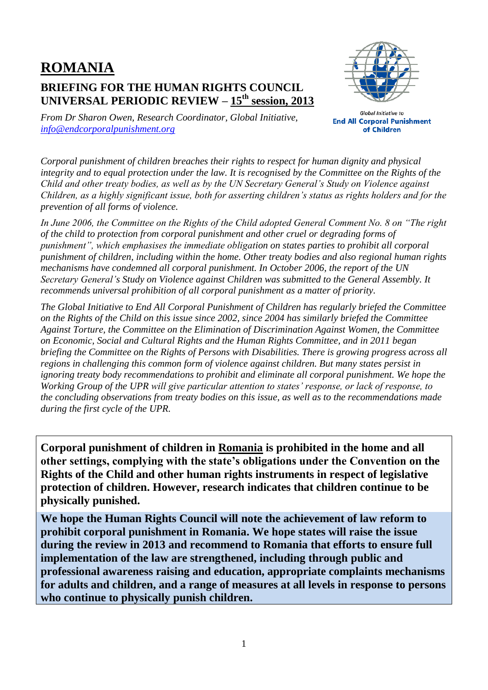## **ROMANIA BRIEFING FOR THE HUMAN RIGHTS COUNCIL UNIVERSAL PERIODIC REVIEW – 15 th session, 2013**



*From Dr Sharon Owen, Research Coordinator, Global Initiative, [info@endcorporalpunishment.org](mailto:info@endcorporalpunishment.org)*

**Global Initiative to End All Corporal Punishment** of Children

*Corporal punishment of children breaches their rights to respect for human dignity and physical integrity and to equal protection under the law. It is recognised by the Committee on the Rights of the Child and other treaty bodies, as well as by the UN Secretary General's Study on Violence against Children, as a highly significant issue, both for asserting children's status as rights holders and for the prevention of all forms of violence.*

*In June 2006, the Committee on the Rights of the Child adopted General Comment No. 8 on "The right of the child to protection from corporal punishment and other cruel or degrading forms of punishment", which emphasises the immediate obligation on states parties to prohibit all corporal punishment of children, including within the home. Other treaty bodies and also regional human rights mechanisms have condemned all corporal punishment. In October 2006, the report of the UN Secretary General's Study on Violence against Children was submitted to the General Assembly. It recommends universal prohibition of all corporal punishment as a matter of priority.*

*The Global Initiative to End All Corporal Punishment of Children has regularly briefed the Committee on the Rights of the Child on this issue since 2002, since 2004 has similarly briefed the Committee Against Torture, the Committee on the Elimination of Discrimination Against Women, the Committee on Economic, Social and Cultural Rights and the Human Rights Committee, and in 2011 began briefing the Committee on the Rights of Persons with Disabilities. There is growing progress across all regions in challenging this common form of violence against children. But many states persist in ignoring treaty body recommendations to prohibit and eliminate all corporal punishment. We hope the Working Group of the UPR will give particular attention to states' response, or lack of response, to the concluding observations from treaty bodies on this issue, as well as to the recommendations made during the first cycle of the UPR.*

**Corporal punishment of children in Romania is prohibited in the home and all other settings, complying with the state's obligations under the Convention on the Rights of the Child and other human rights instruments in respect of legislative protection of children. However, research indicates that children continue to be physically punished.**

**We hope the Human Rights Council will note the achievement of law reform to prohibit corporal punishment in Romania. We hope states will raise the issue during the review in 2013 and recommend to Romania that efforts to ensure full implementation of the law are strengthened, including through public and professional awareness raising and education, appropriate complaints mechanisms for adults and children, and a range of measures at all levels in response to persons who continue to physically punish children.**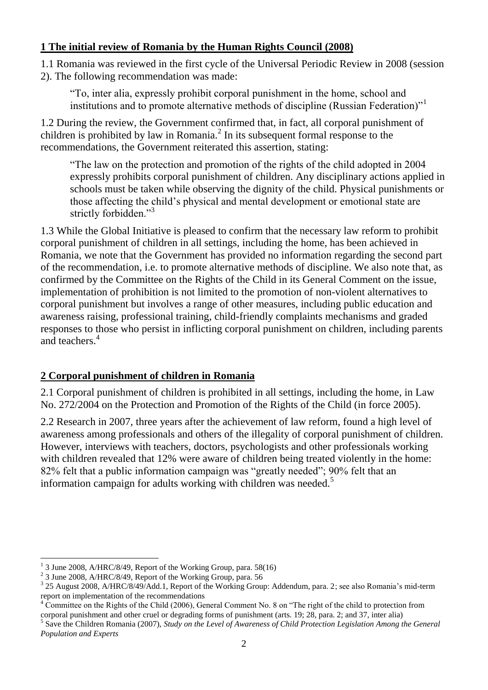## **1 The initial review of Romania by the Human Rights Council (2008)**

1.1 Romania was reviewed in the first cycle of the Universal Periodic Review in 2008 (session 2). The following recommendation was made:

"To, inter alia, expressly prohibit corporal punishment in the home, school and institutions and to promote alternative methods of discipline (Russian Federation)<sup>"1</sup>

1.2 During the review, the Government confirmed that, in fact, all corporal punishment of children is prohibited by law in Romania. $^2$  In its subsequent formal response to the recommendations, the Government reiterated this assertion, stating:

"The law on the protection and promotion of the rights of the child adopted in 2004 expressly prohibits corporal punishment of children. Any disciplinary actions applied in schools must be taken while observing the dignity of the child. Physical punishments or those affecting the child's physical and mental development or emotional state are strictly forbidden."<sup>3</sup>

1.3 While the Global Initiative is pleased to confirm that the necessary law reform to prohibit corporal punishment of children in all settings, including the home, has been achieved in Romania, we note that the Government has provided no information regarding the second part of the recommendation, i.e. to promote alternative methods of discipline. We also note that, as confirmed by the Committee on the Rights of the Child in its General Comment on the issue, implementation of prohibition is not limited to the promotion of non-violent alternatives to corporal punishment but involves a range of other measures, including public education and awareness raising, professional training, child-friendly complaints mechanisms and graded responses to those who persist in inflicting corporal punishment on children, including parents and teachers.<sup>4</sup>

## **2 Corporal punishment of children in Romania**

2.1 Corporal punishment of children is prohibited in all settings, including the home, in Law No. 272/2004 on the Protection and Promotion of the Rights of the Child (in force 2005).

2.2 Research in 2007, three years after the achievement of law reform, found a high level of awareness among professionals and others of the illegality of corporal punishment of children. However, interviews with teachers, doctors, psychologists and other professionals working with children revealed that 12% were aware of children being treated violently in the home: 82% felt that a public information campaign was "greatly needed"; 90% felt that an information campaign for adults working with children was needed.<sup>5</sup>

 $\overline{a}$  $1$  3 June 2008, A/HRC/8/49, Report of the Working Group, para. 58(16)

<sup>2</sup> 3 June 2008, A/HRC/8/49, Report of the Working Group, para. 56

<sup>&</sup>lt;sup>3</sup> 25 August 2008, A/HRC/8/49/Add.1, Report of the Working Group: Addendum, para. 2; see also Romania's mid-term report on implementation of the recommendations

<sup>&</sup>lt;sup>4</sup> Committee on the Rights of the Child (2006), General Comment No. 8 on "The right of the child to protection from corporal punishment and other cruel or degrading forms of punishment (arts. 19; 28, para. 2; and 37, inter alia)

<sup>5</sup> Save the Children Romania (2007), *Study on the Level of Awareness of Child Protection Legislation Among the General Population and Experts*